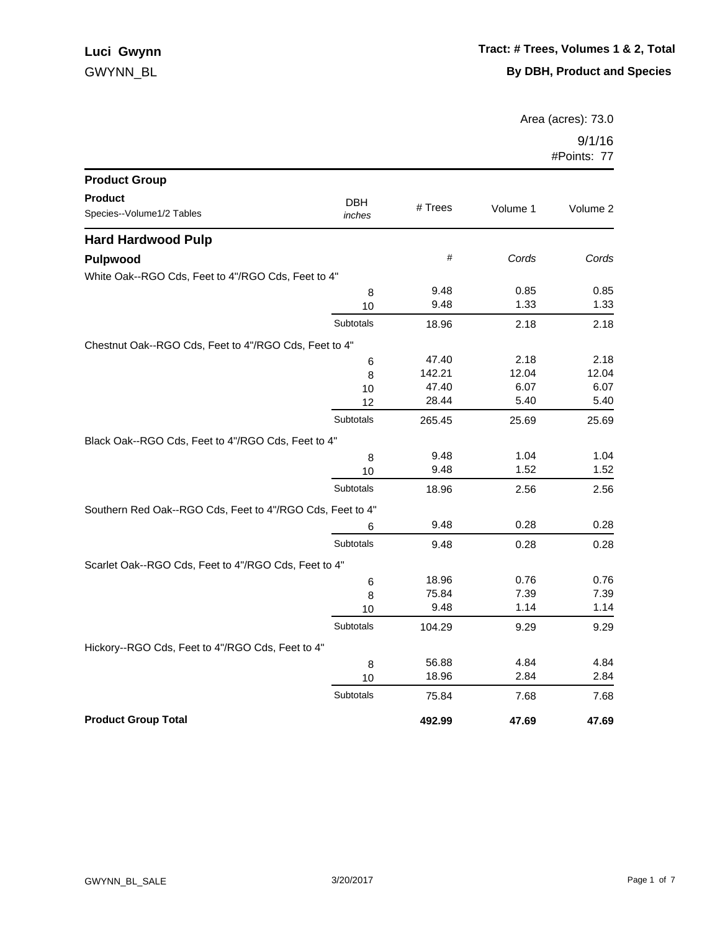Area (acres): 73.0

| <b>Product Group</b>                                      |                      |         |          |          |
|-----------------------------------------------------------|----------------------|---------|----------|----------|
| <b>Product</b><br>Species--Volume1/2 Tables               | <b>DBH</b><br>inches | # Trees | Volume 1 | Volume 2 |
| <b>Hard Hardwood Pulp</b>                                 |                      |         |          |          |
| <b>Pulpwood</b>                                           |                      | $\#$    | Cords    | Cords    |
| White Oak--RGO Cds, Feet to 4"/RGO Cds, Feet to 4"        |                      |         |          |          |
|                                                           | 8                    | 9.48    | 0.85     | 0.85     |
|                                                           | 10                   | 9.48    | 1.33     | 1.33     |
|                                                           | Subtotals            | 18.96   | 2.18     | 2.18     |
| Chestnut Oak--RGO Cds, Feet to 4"/RGO Cds, Feet to 4"     |                      |         |          |          |
|                                                           | 6                    | 47.40   | 2.18     | 2.18     |
|                                                           | 8                    | 142.21  | 12.04    | 12.04    |
|                                                           | 10                   | 47.40   | 6.07     | 6.07     |
|                                                           | 12                   | 28.44   | 5.40     | 5.40     |
|                                                           | Subtotals            | 265.45  | 25.69    | 25.69    |
| Black Oak--RGO Cds, Feet to 4"/RGO Cds, Feet to 4"        |                      |         |          |          |
|                                                           | 8                    | 9.48    | 1.04     | 1.04     |
|                                                           | 10                   | 9.48    | 1.52     | 1.52     |
|                                                           | Subtotals            | 18.96   | 2.56     | 2.56     |
| Southern Red Oak--RGO Cds, Feet to 4"/RGO Cds, Feet to 4" |                      |         |          |          |
|                                                           | 6                    | 9.48    | 0.28     | 0.28     |
|                                                           | Subtotals            | 9.48    | 0.28     | 0.28     |
| Scarlet Oak--RGO Cds, Feet to 4"/RGO Cds, Feet to 4"      |                      |         |          |          |
|                                                           | 6                    | 18.96   | 0.76     | 0.76     |
|                                                           | 8                    | 75.84   | 7.39     | 7.39     |
|                                                           | 10                   | 9.48    | 1.14     | 1.14     |
|                                                           | Subtotals            | 104.29  | 9.29     | 9.29     |
| Hickory--RGO Cds, Feet to 4"/RGO Cds, Feet to 4"          |                      |         |          |          |
|                                                           | 8                    | 56.88   | 4.84     | 4.84     |
|                                                           | 10                   | 18.96   | 2.84     | 2.84     |
|                                                           | <b>Subtotals</b>     | 75.84   | 7.68     | 7.68     |
| <b>Product Group Total</b>                                |                      | 492.99  | 47.69    | 47.69    |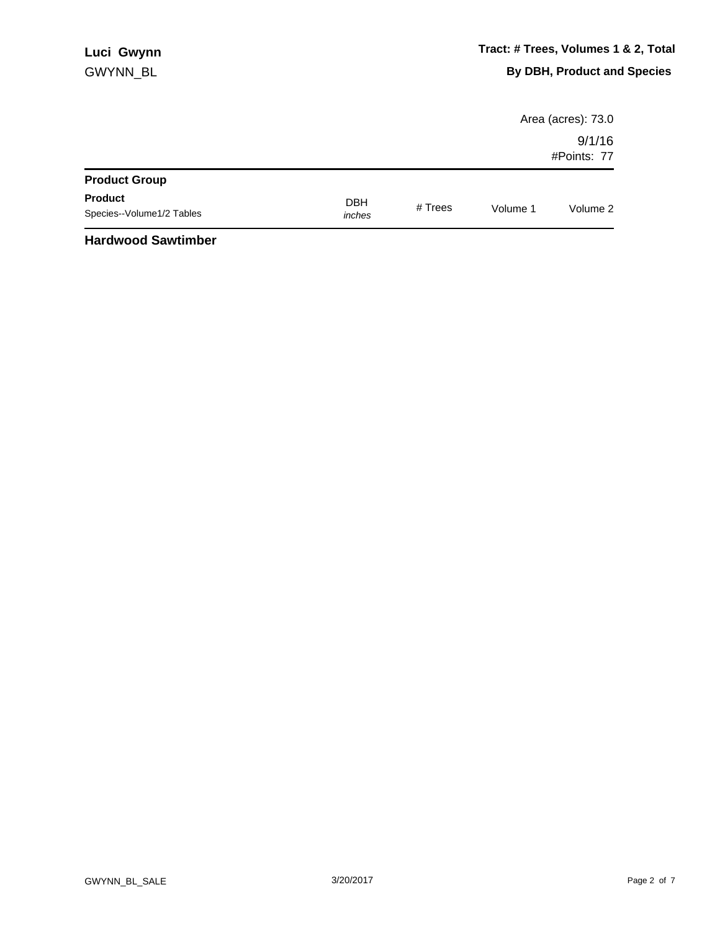|                                             |                      |         |          | Area (acres): 73.0    |
|---------------------------------------------|----------------------|---------|----------|-----------------------|
|                                             |                      |         |          | 9/1/16<br>#Points: 77 |
| <b>Product Group</b>                        |                      |         |          |                       |
| <b>Product</b><br>Species--Volume1/2 Tables | <b>DBH</b><br>inches | # Trees | Volume 1 | Volume 2              |
| .                                           |                      |         |          |                       |

## **Hardwood Sawtimber**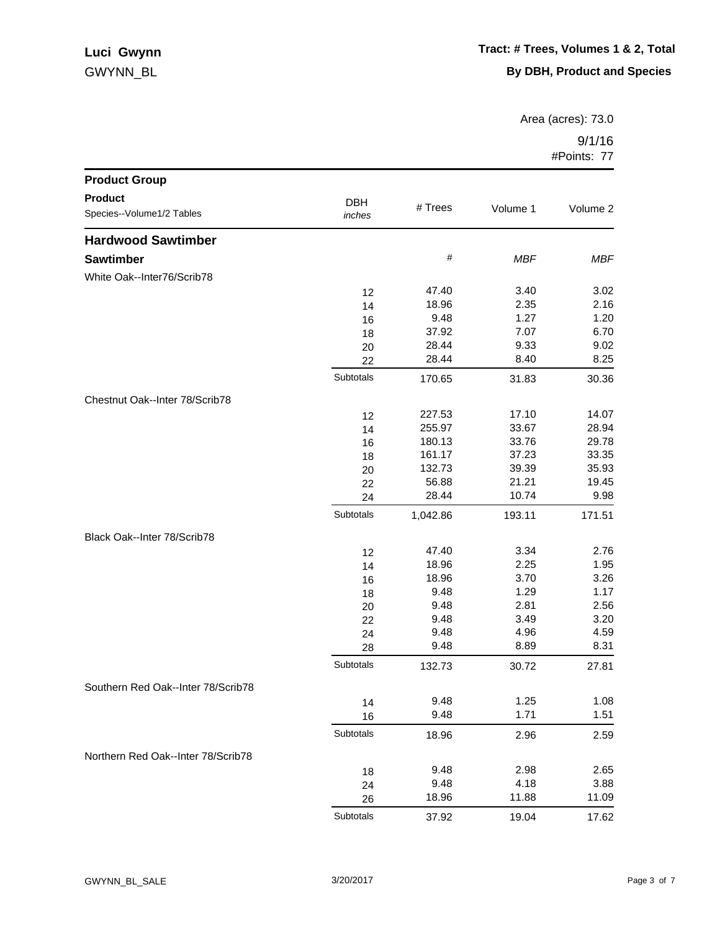## GWYNN\_BL **Luci Gwynn**

Area (acres): 73.0

| <b>Product Group</b>               |            |                |              |              |
|------------------------------------|------------|----------------|--------------|--------------|
| <b>Product</b>                     | <b>DBH</b> |                |              |              |
| Species--Volume1/2 Tables          | inches     | # Trees        | Volume 1     | Volume 2     |
| <b>Hardwood Sawtimber</b>          |            |                |              |              |
| <b>Sawtimber</b>                   |            | $\#$           | <b>MBF</b>   | <b>MBF</b>   |
| White Oak--Inter76/Scrib78         |            |                |              |              |
|                                    | 12         | 47.40          | 3.40         | 3.02         |
|                                    | 14         | 18.96          | 2.35         | 2.16         |
|                                    | 16         | 9.48           | 1.27         | 1.20         |
|                                    | 18         | 37.92          | 7.07         | 6.70         |
|                                    | 20         | 28.44          | 9.33         | 9.02         |
|                                    | 22         | 28.44          | 8.40         | 8.25         |
|                                    | Subtotals  | 170.65         | 31.83        | 30.36        |
| Chestnut Oak--Inter 78/Scrib78     |            |                |              |              |
|                                    | 12         | 227.53         | 17.10        | 14.07        |
|                                    | 14         | 255.97         | 33.67        | 28.94        |
|                                    | 16         | 180.13         | 33.76        | 29.78        |
|                                    | 18         | 161.17         | 37.23        | 33.35        |
|                                    | 20         | 132.73         | 39.39        | 35.93        |
|                                    | 22         | 56.88          | 21.21        | 19.45        |
|                                    | 24         | 28.44          | 10.74        | 9.98         |
|                                    | Subtotals  | 1,042.86       | 193.11       | 171.51       |
| Black Oak--Inter 78/Scrib78        |            |                |              |              |
|                                    | 12         | 47.40          | 3.34         | 2.76         |
|                                    | 14         | 18.96<br>18.96 | 2.25<br>3.70 | 1.95         |
|                                    | 16         | 9.48           | 1.29         | 3.26<br>1.17 |
|                                    | 18<br>20   | 9.48           | 2.81         | 2.56         |
|                                    | 22         | 9.48           | 3.49         | 3.20         |
|                                    | 24         | 9.48           | 4.96         | 4.59         |
|                                    | 28         | 9.48           | 8.89         | 8.31         |
|                                    | Subtotals  | 132.73         | 30.72        | 27.81        |
| Southern Red Oak--Inter 78/Scrib78 |            |                |              |              |
|                                    | 14         | 9.48           | 1.25         | 1.08         |
|                                    | 16         | 9.48           | 1.71         | 1.51         |
|                                    | Subtotals  | 18.96          | 2.96         | 2.59         |
| Northern Red Oak--Inter 78/Scrib78 |            |                |              |              |
|                                    | 18         | 9.48           | 2.98         | 2.65         |
|                                    | 24         | 9.48           | 4.18         | 3.88         |
|                                    | 26         | 18.96          | 11.88        | 11.09        |
|                                    | Subtotals  | 37.92          | 19.04        | 17.62        |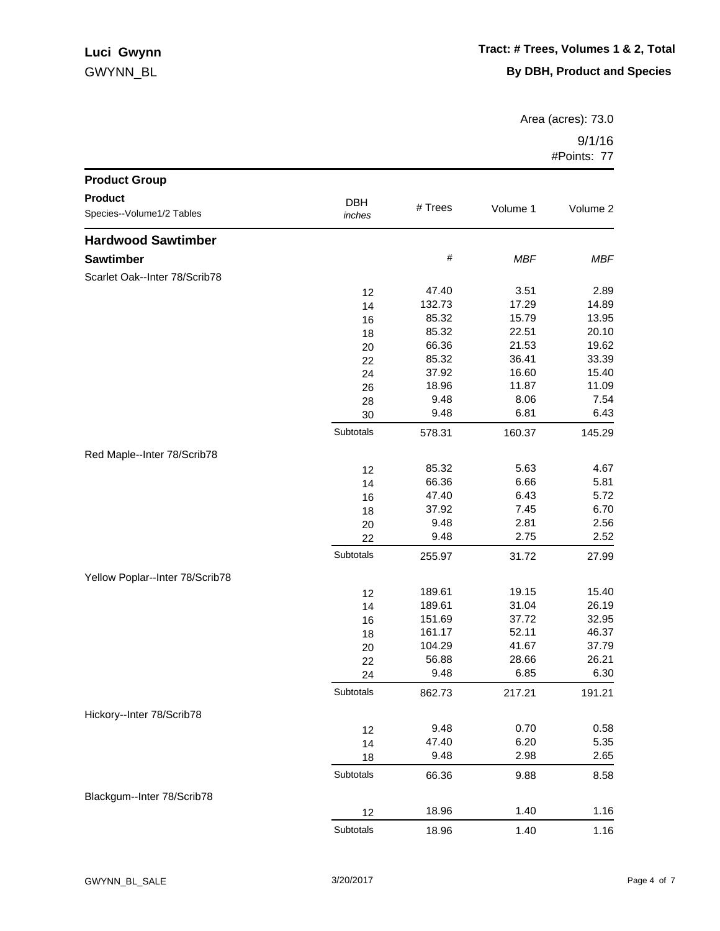## GWYNN\_BL **Luci Gwynn**

Area (acres): 73.0

| <b>Product Group</b>            |            |         |            |            |
|---------------------------------|------------|---------|------------|------------|
| <b>Product</b>                  | <b>DBH</b> |         |            |            |
| Species--Volume1/2 Tables       | inches     | # Trees | Volume 1   | Volume 2   |
| <b>Hardwood Sawtimber</b>       |            |         |            |            |
| <b>Sawtimber</b>                |            | $\#$    | <b>MBF</b> | <b>MBF</b> |
| Scarlet Oak--Inter 78/Scrib78   |            |         |            |            |
|                                 | 12         | 47.40   | 3.51       | 2.89       |
|                                 | 14         | 132.73  | 17.29      | 14.89      |
|                                 | 16         | 85.32   | 15.79      | 13.95      |
|                                 | 18         | 85.32   | 22.51      | 20.10      |
|                                 | 20         | 66.36   | 21.53      | 19.62      |
|                                 | 22         | 85.32   | 36.41      | 33.39      |
|                                 | 24         | 37.92   | 16.60      | 15.40      |
|                                 | 26         | 18.96   | 11.87      | 11.09      |
|                                 | 28         | 9.48    | 8.06       | 7.54       |
|                                 | 30         | 9.48    | 6.81       | 6.43       |
|                                 | Subtotals  | 578.31  | 160.37     | 145.29     |
| Red Maple--Inter 78/Scrib78     |            |         |            |            |
|                                 | 12         | 85.32   | 5.63       | 4.67       |
|                                 | 14         | 66.36   | 6.66       | 5.81       |
|                                 | 16         | 47.40   | 6.43       | 5.72       |
|                                 | 18         | 37.92   | 7.45       | 6.70       |
|                                 | 20         | 9.48    | 2.81       | 2.56       |
|                                 | 22         | 9.48    | 2.75       | 2.52       |
|                                 | Subtotals  | 255.97  | 31.72      | 27.99      |
| Yellow Poplar--Inter 78/Scrib78 |            |         |            |            |
|                                 | 12         | 189.61  | 19.15      | 15.40      |
|                                 | 14         | 189.61  | 31.04      | 26.19      |
|                                 | 16         | 151.69  | 37.72      | 32.95      |
|                                 | 18         | 161.17  | 52.11      | 46.37      |
|                                 | 20         | 104.29  | 41.67      | 37.79      |
|                                 | 22         | 56.88   | 28.66      | 26.21      |
|                                 | 24         | 9.48    | 6.85       | 6.30       |
|                                 | Subtotals  | 862.73  | 217.21     | 191.21     |
| Hickory--Inter 78/Scrib78       |            |         |            |            |
|                                 | 12         | 9.48    | 0.70       | 0.58       |
|                                 | 14         | 47.40   | 6.20       | 5.35       |
|                                 | 18         | 9.48    | 2.98       | 2.65       |
|                                 | Subtotals  | 66.36   | 9.88       | 8.58       |
| Blackgum--Inter 78/Scrib78      |            |         |            |            |
|                                 | 12         | 18.96   | 1.40       | 1.16       |
|                                 | Subtotals  | 18.96   | 1.40       | 1.16       |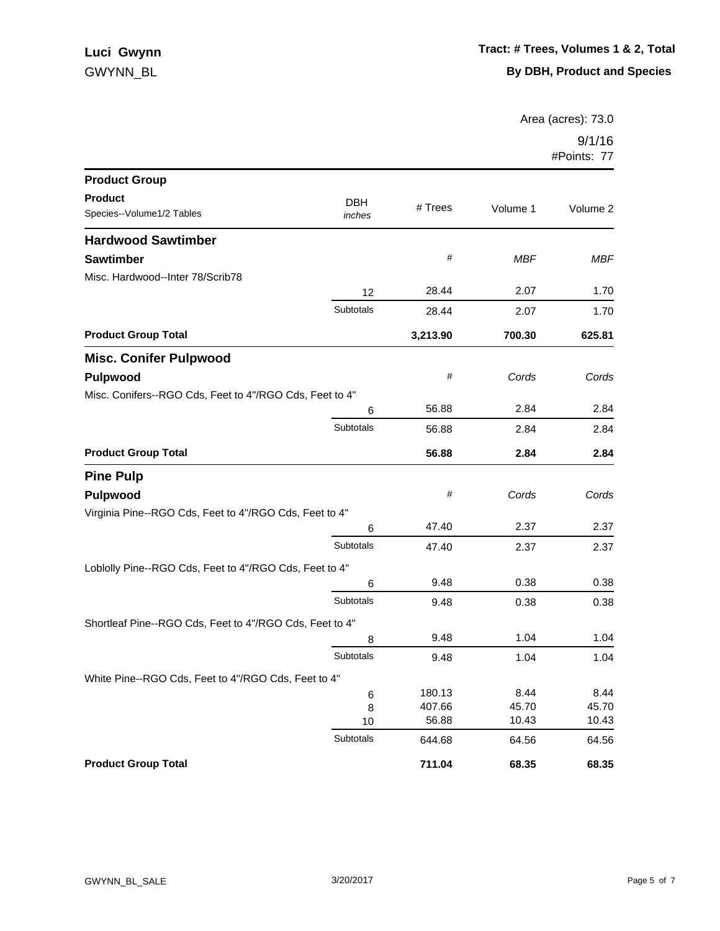Area (acres): 73.0

| <b>Product Group</b>                                    |            |          |            |            |
|---------------------------------------------------------|------------|----------|------------|------------|
| <b>Product</b>                                          | <b>DBH</b> |          |            |            |
| Species--Volume1/2 Tables                               | inches     | # Trees  | Volume 1   | Volume 2   |
| <b>Hardwood Sawtimber</b>                               |            |          |            |            |
| <b>Sawtimber</b>                                        |            | #        | <b>MBF</b> | <b>MBF</b> |
| Misc. Hardwood--Inter 78/Scrib78                        |            |          |            |            |
|                                                         | 12         | 28.44    | 2.07       | 1.70       |
|                                                         | Subtotals  | 28.44    | 2.07       | 1.70       |
| <b>Product Group Total</b>                              |            | 3,213.90 | 700.30     | 625.81     |
| <b>Misc. Conifer Pulpwood</b>                           |            |          |            |            |
| Pulpwood                                                |            | #        | Cords      | Cords      |
| Misc. Conifers--RGO Cds, Feet to 4"/RGO Cds, Feet to 4" |            |          |            |            |
|                                                         | 6          | 56.88    | 2.84       | 2.84       |
|                                                         | Subtotals  | 56.88    | 2.84       | 2.84       |
| <b>Product Group Total</b>                              |            | 56.88    | 2.84       | 2.84       |
| <b>Pine Pulp</b>                                        |            |          |            |            |
| Pulpwood                                                |            | #        | Cords      | Cords      |
| Virginia Pine--RGO Cds, Feet to 4"/RGO Cds, Feet to 4"  |            |          |            |            |
|                                                         | 6          | 47.40    | 2.37       | 2.37       |
|                                                         | Subtotals  | 47.40    | 2.37       | 2.37       |
| Loblolly Pine--RGO Cds, Feet to 4"/RGO Cds, Feet to 4"  |            |          |            |            |
|                                                         | 6          | 9.48     | 0.38       | 0.38       |
|                                                         | Subtotals  | 9.48     | 0.38       | 0.38       |
| Shortleaf Pine--RGO Cds, Feet to 4"/RGO Cds, Feet to 4" |            |          |            |            |
|                                                         | 8          | 9.48     | 1.04       | 1.04       |
|                                                         | Subtotals  | 9.48     | 1.04       | 1.04       |
| White Pine--RGO Cds, Feet to 4"/RGO Cds, Feet to 4"     |            |          |            |            |
|                                                         | 6          | 180.13   | 8.44       | 8.44       |
|                                                         | 8          | 407.66   | 45.70      | 45.70      |
|                                                         | 10         | 56.88    | 10.43      | 10.43      |
|                                                         | Subtotals  | 644.68   | 64.56      | 64.56      |
| <b>Product Group Total</b>                              |            | 711.04   | 68.35      | 68.35      |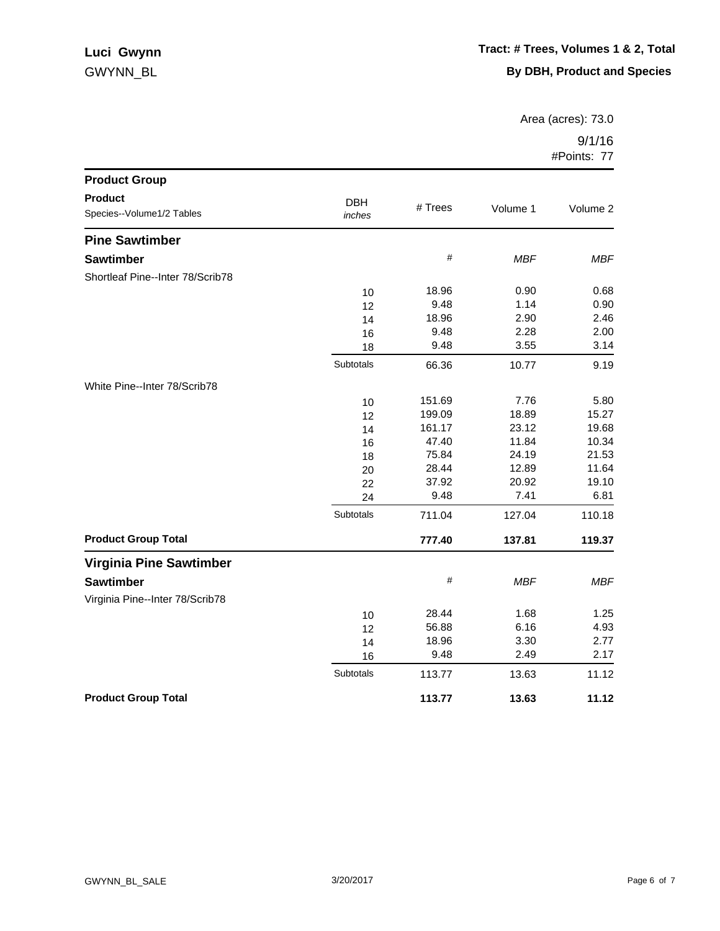## GWYNN\_BL **Luci Gwynn**

Area (acres): 73.0

| <b>Product Group</b>                        |                      |         |            |            |
|---------------------------------------------|----------------------|---------|------------|------------|
| <b>Product</b><br>Species--Volume1/2 Tables | <b>DBH</b><br>inches | # Trees | Volume 1   | Volume 2   |
| <b>Pine Sawtimber</b>                       |                      |         |            |            |
| <b>Sawtimber</b>                            |                      | $\#$    | <b>MBF</b> | <b>MBF</b> |
| Shortleaf Pine--Inter 78/Scrib78            |                      |         |            |            |
|                                             | 10                   | 18.96   | 0.90       | 0.68       |
|                                             | 12                   | 9.48    | 1.14       | 0.90       |
|                                             | 14                   | 18.96   | 2.90       | 2.46       |
|                                             | 16                   | 9.48    | 2.28       | 2.00       |
|                                             | 18                   | 9.48    | 3.55       | 3.14       |
|                                             | Subtotals            | 66.36   | 10.77      | 9.19       |
| White Pine--Inter 78/Scrib78                |                      |         |            |            |
|                                             | 10                   | 151.69  | 7.76       | 5.80       |
|                                             | 12                   | 199.09  | 18.89      | 15.27      |
|                                             | 14                   | 161.17  | 23.12      | 19.68      |
|                                             | 16                   | 47.40   | 11.84      | 10.34      |
|                                             | 18                   | 75.84   | 24.19      | 21.53      |
|                                             | 20                   | 28.44   | 12.89      | 11.64      |
|                                             | 22                   | 37.92   | 20.92      | 19.10      |
|                                             | 24                   | 9.48    | 7.41       | 6.81       |
|                                             | Subtotals            | 711.04  | 127.04     | 110.18     |
| <b>Product Group Total</b>                  |                      | 777.40  | 137.81     | 119.37     |
| <b>Virginia Pine Sawtimber</b>              |                      |         |            |            |
| <b>Sawtimber</b>                            |                      | $\#$    | <b>MBF</b> | <b>MBF</b> |
| Virginia Pine--Inter 78/Scrib78             |                      |         |            |            |
|                                             | 10                   | 28.44   | 1.68       | 1.25       |
|                                             | 12                   | 56.88   | 6.16       | 4.93       |
|                                             | 14                   | 18.96   | 3.30       | 2.77       |
|                                             | 16                   | 9.48    | 2.49       | 2.17       |
|                                             | Subtotals            | 113.77  | 13.63      | 11.12      |
| <b>Product Group Total</b>                  |                      | 113.77  | 13.63      | 11.12      |